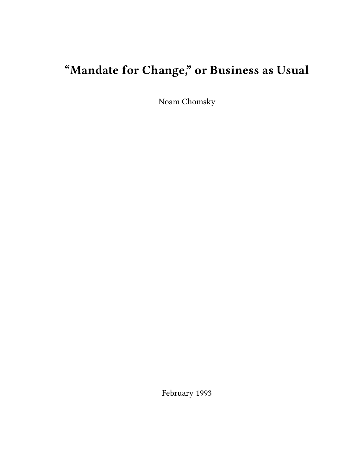# **"Mandate for Change," or Business as Usual**

Noam Chomsky

February 1993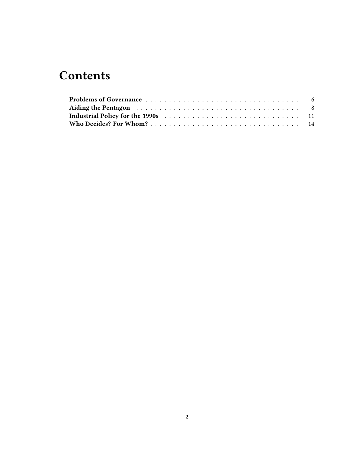# **Contents**

| Aiding the Pentagon resonance and the resonance of the Riding the Pentagon resonance of the set of the Riding t |  |
|-----------------------------------------------------------------------------------------------------------------|--|
|                                                                                                                 |  |
|                                                                                                                 |  |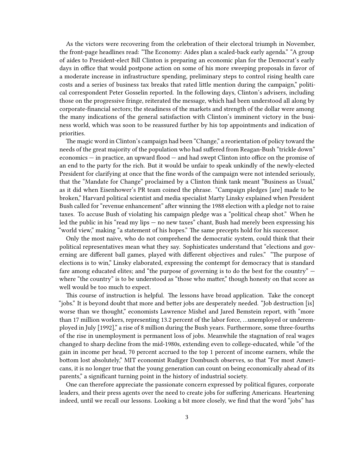As the victors were recovering from the celebration of their electoral triumph in November, the front-page headlines read: "The Economy: Aides plan a scaled-back early agenda." "A group of aides to President-elect Bill Clinton is preparing an economic plan for the Democrat's early days in office that would postpone action on some of his more sweeping proposals in favor of a moderate increase in infrastructure spending, preliminary steps to control rising health care costs and a series of business tax breaks that rated little mention during the campaign," political correspondent Peter Gosselin reported. In the following days, Clinton's advisers, including those on the progressive fringe, reiterated the message, which had been understood all along by corporate-financial sectors; the steadiness of the markets and strength of the dollar were among the many indications of the general satisfaction with Clinton's imminent victory in the business world, which was soon to be reassured further by his top appointments and indication of priorities.

The magic word in Clinton's campaign had been "Change," a reorientation of policy toward the needs of the great majority of the population who had suffered from Reagan-Bush "trickle down" economics — in practice, an upward flood — and had swept Clinton into office on the promise of an end to the party for the rich. But it would be unfair to speak unkindly of the newly-elected President for clarifying at once that the fine words of the campaign were not intended seriously, that the "Mandate for Change" proclaimed by a Clinton think tank meant "Business as Usual," as it did when Eisenhower's PR team coined the phrase. "Campaign pledges [are] made to be broken," Harvard political scientist and media specialist Marty Linsky explained when President Bush called for "revenue enhancement" after winning the 1988 election with a pledge not to raise taxes. To accuse Bush of violating his campaign pledge was a "political cheap shot." When he led the public in his "read my lips — no new taxes" chant, Bush had merely been expressing his "world view," making "a statement of his hopes." The same precepts hold for his successor.

Only the most naive, who do not comprehend the democratic system, could think that their political representatives mean what they say. Sophisticates understand that "elections and governing are different ball games, played with different objectives and rules." "The purpose of elections is to win," Linsky elaborated, expressing the contempt for democracy that is standard fare among educated elites; and "the purpose of governing is to do the best for the country" where "the country" is to be understood as "those who matter," though honesty on that score as well would be too much to expect.

This course of instruction is helpful. The lessons have broad application. Take the concept "jobs." It is beyond doubt that more and better jobs are desperately needed. "Job destruction [is] worse than we thought," economists Lawrence Mishel and Jared Bemstein report, with "more than 17 million workers, representing 13.2 percent of the labor force, …unemployed or underemployed in July [1992]," a rise of 8 million during the Bush years. Furthermore, some three-fourths of the rise in unemployment is permanent loss of jobs. Meanwhile the stagnation of real wages changed to sharp decline from the mid-1980s, extending even to college-educated, while "of the gain in income per head, 70 percent accrued to the top 1 percent of income earners, while the bottom lost absolutely," MIT economist Rudiger Dombusch observes, so that "For most Americans, it is no longer true that the young generation can count on being economically ahead of its parents," a significant turning point in the history of industrial society.

One can therefore appreciate the passionate concern expressed by political figures, corporate leaders, and their press agents over the need to create jobs for suffering Americans. Heartening indeed, until we recall our lessons. Looking a bit more closely, we find that the word "jobs" has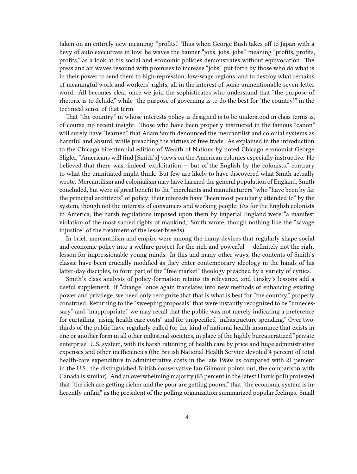taken on an entirely new meaning: "profits." Thus when George Bush takes off to Japan with a bevy of auto executives in tow, he waves the banner "jobs, jobs, jobs," meaning "profits, profits, profits," as a look at his social and economic policies demonstrates without equivocation. The press and air waves resound with promises to increase "jobs," put forth by those who do what is in their power to send them to high-repression, low-wage regions, and to destroy what remains of meaningful work and workers' rights, all in the interest of some unmentionable seven-letter word. All becomes clear once we join the sophisticates who understand that "the purpose of rhetoric is to delude," while "the purpose of governing is to do the best for 'the country'" in the technical sense of that term.

That "the country" in whose interests policy is designed is to be understood in class terms is, of course, no recent insight. Those who have been properly instructed in the famous "canon" will surely have "learned" that Adam Smith denounced the mercantilist and colonial systems as harmful and absurd, while preaching the virtues of free trade. As explained in the introduction to the Chicago bicentennial edition of Wealth of Nations by noted Chicago economist George Sligler, "Americans will find [Smith's] views on the American colonies especially instructive. He believed that there was, indeed, exploitation — but of the English by the colonists," contrary to what the uninitiated might think. But few are likely to have discovered what Smith actually wrote. Mercantilism and colonialism may have harmed the general population of England, Smith concluded, but were of great benefit to the "merchants and manufacturers" who "have been by far the principal architects" of policy; their interests have "been most peculiarly attended to" by the system, though not the interests of consumers and working people. (As for the English colonists in America, the harsh regulations imposed upon them by imperial England were "a manifest violation of the most sacred rights of mankind," Smith wrote, though nothing like the "savage injustice" of the treatment of the lesser breeds).

In brief, mercantilism and empire were among the many devices that regularly shape social and economic policy into a welfare project for the rich and powerful — definitely not the right lesson for impressionable young minds. In this and many other ways, the contents of Smith's classic have been crucially modified as they enter contemporary ideology in the hands of his latter-day disciples, to form part of the "free market" theology preached by a variety of cynics.

Smith's class analysis of policy-formation retains its relevance, and Linsky's lessons add a useful supplement. If "change" once again translates into new methods of enhancing existing power and privilege, we need only recognize that that is what is best for "the country," properly construed. Returning to the "sweeping proposals" that were instantly recognized to be "unnecessary" and "inappropriate," we may recall that the public was not merely indicating a preference for curtailing "rising health care costs" and for unspecified "infrastructure spending." Over twothirds of the public have regularly called for the kind of national health insurance that exists in one or another form in all other industrial societies, in place of the highly bureaucratized "private enterprise" U.S. system, with its harsh rationing of health care by price and huge administrative expenses and other inefficiencies (the British National Health Service devoted 4 percent of total health-care expenditure to administrative costs in the late 1980s as compared with 21 percent in the U.S., the distinguished British conservative Ian Gilmour points out; the comparison with Canada is similar). And an overwhelming majority (83 percent in the latest Harris poll) protested that "the rich are getting richer and the poor are getting poorer," that "the economic system is inherently unfair," as the president of the polling organization summarized popular feelings. Small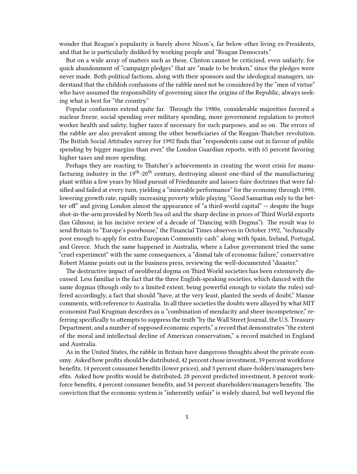wonder that Reagan's popularity is barely above Nixon's, far below other living ex-Presidents, and that he is particularly disliked by working people and "Reagan Democrats."

But on a wide array of matters such as these, Clinton cannot be criticized, even unfairly, for quick abandonment of "campaign pledges" that are "made to be broken," since the pledges were never made. Both political factions, along with their sponsors and the ideological managers, understand that the childish confusions of the rabble need not be considered by the "men of virtue" who have assumed the responsibility of governing since the origins of the Republic, always seeking what is best for "the country."

Popular confusions extend quite far. Through the 1980s, considerable majorities favored a nuclear freeze, social spending over military spending, more government regulation to protect worker health and safety, higher taxes if necessary for such purposes, and so on. The errors of the rabble are also prevalent among the other beneficiaries of the Reagan-Thatcher revolution. The British Social Attitudes survey for 1992 finds that "respondents came out in favour of public spending by bigger margins than ever," the London Guardian reports, with 65 percent favoring higher taxes and more spending.

Perhaps they are reacting to Thatcher's achievements in creating the worst crisis for manufacturing industry in the 19<sup>th</sup>-20<sup>th</sup> century, destroying almost one-third of the manufacturing plant within a few years by blind pursuit of Friedmanite and laissez-faire doctrines that were falsified and failed at every turn, yielding a "miserable performance" for the economy through 1990, lowering growth rate, rapidly increasing poverty while playing "Good Samaritan only to the better of" and giving London almost the appearance of "a third-world capital" — despite the huge shot-in-the-arm provided by North Sea oil and the sharp decline in prices of Third World exports (Ian Gilmour, in his incisive review of a decade of "Dancing with Dogma"). The result was to send Britain to "Europe's poorhouse," the Financial Times observes in October 1992, "technically poor enough to apply for extra European Community cash" along with Spain, Ireland, Portugal, and Greece. Much the same happened in Australia, where a Labor government tried the same "cruel experiment" with the same consequences, a "dismal tale of economic failure," conservative Robert Manne points out in the business press, reviewing the well-documented "disaster."

The destructive impact of neoliberal dogma on Third World societies has been extensively discussed. Less familiar is the fact that the three English-speaking societies, which danced with the same dogmas (though only to a limited extent, being powerful enough to violate the rules) suffered accordingly, a fact that should "have, at the very least, planted the seeds of doubt," Manne comments, with reference to Australia. In all three societies the doubts were allayed by what MIT economist Paul Krugman describes as a "combination of mendacity and sheer incompetence," referring specifically to attempts to suppress the truth "by the Wall Street Journal, the U.S. Treasury Department, and a number of supposed economic experts," a record that demonstrates "the extent of the moral and intellectual decline of American conservatism," a record matched in England and Australia.

As in the United States, the rabble in Britain have dangerous thoughts about the private economy. Asked how profits should be distributed, 42 percent chose investment, 39 percent workforce benefits, 14 percent consumer benefits (lower prices), and 3 percent share-holders/managers benefits. Asked how profits would be distributed, 28 percent predicted investment, 8 percent workforce benefits, 4 percent consumer benefits, and 54 percent shareholders/managers benefits. The conviction that the economic system is "inherently unfair" is widely shared, but well beyond the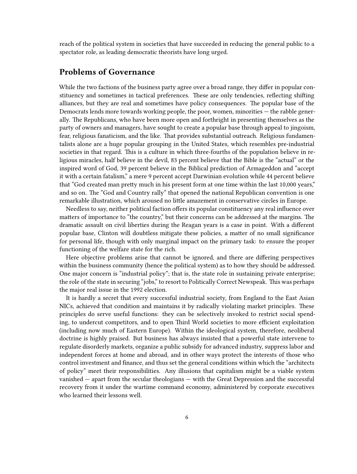reach of the political system in societies that have succeeded in reducing the general public to a spectator role, as leading democratic theorists have long urged.

## <span id="page-5-0"></span>**Problems of Governance**

While the two factions of the business party agree over a broad range, they differ in popular constituency and sometimes in tactical preferences. These are only tendencies, reflecting shifting alliances, but they are real and sometimes have policy consequences. The popular base of the Democrats lends more towards working people, the poor, women, minorities — the rabble generally. The Republicans, who have been more open and forthright in presenting themselves as the party of owners and managers, have sought to create a popular base through appeal to jingoism, fear, religious fanaticism, and the like. That provides substantial outreach. Religious fundamentalists alone are a huge popular grouping in the United States, which resembles pre-industrial societies in that regard. This is a culture in which three-fourths of the population believe in religious miracles, half believe in the devil, 83 percent believe that the Bible is the "actual" or the inspired word of God, 39 percent believe in the Biblical prediction of Armageddon and "accept it with a certain fatalism," a mere 9 percent accept Darwinian evolution while 44 percent believe that "God created man pretty much in his present form at one time within the last 10,000 years," and so on. The "God and Country rally" that opened the national Republican convention is one remarkable illustration, which aroused no little amazement in conservative circles in Europe.

Needless to say, neither political faction offers its popular constituency any real influence over matters of importance to "the country," but their concerns can be addressed at the margins. The dramatic assault on civil liberties during the Reagan years is a case in point. With a different popular base, Clinton will doubtless mitigate these policies, a matter of no small significance for personal life, though with only marginal impact on the primary task: to ensure the proper functioning of the welfare state for the rich.

Here objective problems arise that cannot be ignored, and there are differing perspectives within the business community (hence the political system) as to how they should be addressed. One major concern is "industrial policy"; that is, the state role in sustaining private enterprise; the role of the state in securing "jobs," to resort to Politically Correct Newspeak. This was perhaps the major real issue in the 1992 election.

It is hardly a secret that every successful industrial society, from England to the East Asian NICs, achieved that condition and maintains it by radically violating market principles. These principles do serve useful functions: they can be selectively invoked to restrict social spending, to undercut competitors, and to open Third World societies to more efficient exploitation (including now much of Eastern Europe). Within the ideological system, therefore, neoliberal doctrine is highly praised. But business has always insisted that a powerful state intervene to regulate disorderly markets, organize a public subsidy for advanced industry, suppress labor and independent forces at home and abroad, and in other ways protect the interests of those who control investment and finance, and thus set the general conditions within which the "architects of policy" meet their responsibilities. Any illusions that capitalism might be a viable system vanished — apart from the secular theologians — with the Great Depression and the successful recovery from it under the wartime command economy, administered by corporate executives who learned their lessons well.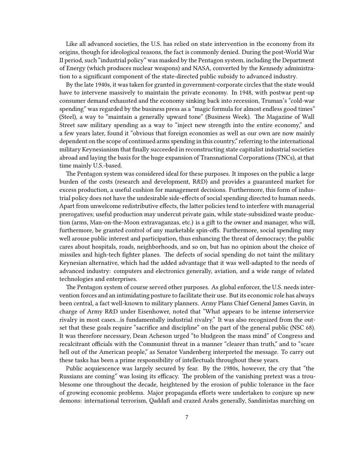Like all advanced societies, the U.S. has relied on state intervention in the economy from its origins, though for ideological reasons, the fact is commonly denied. During the post-World War II period, such "industrial policy" was masked by the Pentagon system, including the Department of Energy (which produces nuclear weapons) and NASA, converted by the Kennedy administration to a significant component of the state-directed public subsidy to advanced industry.

By the late 1940s, it was taken for granted in government-corporate circles that the state would have to intervene massively to maintain the private economy. In 1948, with postwar pent-up consumer demand exhausted and the economy sinking back into recession, Truman's "cold-war spending" was regarded by the business press as a "magic formula for almost endless good times" (Steel), a way to "maintain a generally upward tone" (Business Week). The Magazine of Wall Street saw military spending as a way to "inject new strength into the entire economy," and a few years later, found it "obvious that foreign economies as well as our own are now mainly dependent on the scope of continued arms spending in this country," referring to the international military Keynesianism that finally succeeded in reconstructing state capitalist industrial societies abroad and laying the basis for the huge expansion of Transnational Corporations (TNCs), at that time mainly U.S.-based.

The Pentagon system was considered ideal for these purposes. It imposes on the public a large burden of the costs (research and development, R&D) and provides a guaranteed market for excess production, a useful cushion for management decisions. Furthermore, this form of industrial policy does not have the undesirable side-effects of social spending directed to human needs. Apart from unwelcome redistributive effects, the latter policies tend to interfere with managerial prerogatives; useful production may undercut private gain, while state-subsidized waste production (arms, Man-on-the-Moon extravaganzas, etc.) is a gift to the owner and manager, who will, furthermore, be granted control of any marketable spin-offs. Furthermore, social spending may well arouse public interest and participation, thus enhancing the threat of democracy; the public cares about hospitals, roads, neighborhoods, and so on, but has no opinion about the choice of missiles and high-tech fighter planes. The defects of social spending do not taint the military Keynesian alternative, which had the added advantage that it was well-adapted to the needs of advanced industry: computers and electronics generally, aviation, and a wide range of related technologies and enterprises.

The Pentagon system of course served other purposes. As global enforcer, the U.S. needs intervention forces and an intimidating posture to facilitate their use. But its economic role has always been central, a fact well-known to military planners. Army Plans Chief General James Gavin, in charge of Army R&D under Eisenhower, noted that "What appears to be intense interservice rivalry in most cases…is fundamentally industrial rivalry." It was also recognized from the outset that these goals require "sacrifice and discipline" on the part of the general public (NSC 68). It was therefore necessary, Dean Acheson urged "to bludgeon the mass mind" of Congress and recalcitrant officials with the Communist threat in a manner "clearer than truth," and to "scare hell out of the American people," as Senator Vandenberg interpreted the message. To carry out these tasks has been a prime responsibility of intellectuals throughout these years.

Public acquiescence was largely secured by fear. By the 1980s, however, the cry that "the Russians are coming" was losing its efficacy. The problem of the vanishing pretext was a troublesome one throughout the decade, heightened by the erosion of public tolerance in the face of growing economic problems. Major propaganda efforts were undertaken to conjure up new demons: international terrorism, Qaddafi and crazed Arabs generally, Sandinistas marching on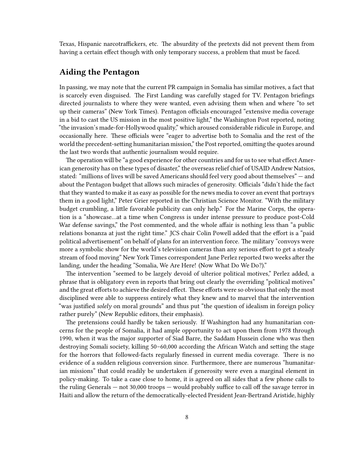Texas, Hispanic narcotraffickers, etc. The absurdity of the pretexts did not prevent them from having a certain effect though with only temporary success, a problem that must be faced.

### <span id="page-7-0"></span>**Aiding the Pentagon**

In passing, we may note that the current PR campaign in Somalia has similar motives, a fact that is scarcely even disguised. The First Landing was carefully staged for TV. Pentagon briefings directed journalists to where they were wanted, even advising them when and where "to set up their cameras" (New York Times). Pentagon officials encouraged "extensive media coverage in a bid to cast the US mission in the most positive light," the Washington Post reported, noting "the invasion's made-for-Hollywood quality," which aroused considerable ridicule in Europe, and occasionally here. These officials were "eager to advertise both to Somalia and the rest of the world the precedent-setting humanitarian mission," the Post reported, omitting the quotes around the last two words that authentic journalism would require.

The operation will be "a good experience for other countries and for us to see what effect American generosity has on these types of disaster," the overseas relief chief of USAID Andrew Natsios, stated: "millions of lives will be saved Americans should feel very good about themselves" — and about the Pentagon budget that allows such miracles of generosity. Officials "didn't hide the fact that they wanted to make it as easy as possible for the news media to cover an event that portrays them in a good light," Peter Grier reported in the Christian Science Monitor. "With the military budget crumbling, a little favorable publicity can only help." For the Marine Corps, the operation is a "showcase…at a time when Congress is under intense pressure to produce post-Cold War defense savings," the Post commented, and the whole affair is nothing less than "a public relations bonanza at just the right time." JCS chair Colin Powell added that the effort is a "paid political advertisement" on behalf of plans for an intervention force. The military "convoys were more a symbolic show for the world's television cameras than any serious effort to get a steady stream of food moving" New York Times correspondent Jane Perlez reported two weeks after the landing, under the heading "Somalia, We Are Here! (Now What Do We Do?)."

The intervention "seemed to be largely devoid of ulterior political motives," Perlez added, a phrase that is obligatory even in reports that bring out clearly the overriding "political motives" and the great efforts to achieve the desired effect. These efforts were so obvious that only the most disciplined were able to suppress entirely what they knew and to marvel that the intervention "was justified *solely* on moral grounds" and thus put "the question of idealism in foreign policy rather purely" (New Republic editors, their emphasis).

The pretensions could hardly be taken seriously. If Washington had any humanitarian concerns for the people of Somalia, it had ample opportunity to act upon them from 1978 through 1990, when it was the major supporter of Siad Barre, the Saddam Hussein clone who was then destroying Somali society, killing 50–60,000 according the African Watch and setting the stage for the horrors that followed-facts regularly finessed in current media coverage. There is no evidence of a sudden religious conversion since. Furthermore, there are numerous "humanitarian missions" that could readily be undertaken if generosity were even a marginal element in policy-making. To take a case close to home, it is agreed on all sides that a few phone calls to the ruling Generals — not 30,000 troops — would probably suffice to call off the savage terror in Haiti and allow the return of the democratically-elected President Jean-Bertrand Aristide, highly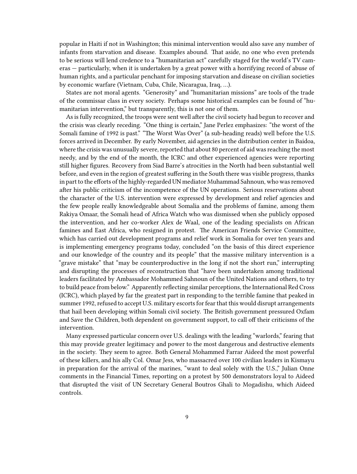popular in Haiti if not in Washington; this minimal intervention would also save any number of infants from starvation and disease. Examples abound. That aside, no one who even pretends to be serious will lend credence to a "humanitarian act" carefully staged for the world's TV cameras — particularly, when it is undertaken by a great power with a horrifying record of abuse of human rights, and a particular penchant for imposing starvation and disease on civilian societies by economic warfare (Vietnam, Cuba, Chile, Nicaragua, Iraq, …).

States are not moral agents. "Generosity" and "humanitarian missions" are tools of the trade of the commissar class in every society. Perhaps some historical examples can be found of "humanitarian intervention," but transparently, this is not one of them.

As is fully recognized, the troops were sent well after the civil society had begun to recover and the crisis was clearly receding. "One thing is certain," Jane Perlez emphasizes: "the worst of the Somali famine of 1992 is past." "The Worst Was Over" (a sub-heading reads) well before the U.S. forces arrived in December. By early November, aid agencies in the distribution center in Baidoa, where the crisis was unusually severe, reported that about 80 percent of aid was reaching the most needy, and by the end of the month, the ICRC and other experienced agencies were reporting still higher figures. Recovery from Siad Barre's atrocities in the North had been substantial well before, and even in the region of greatest suffering in the South there was visible progress, thanks in part to the efforts of the highly-regarded UN mediator Muhammad Sahnoun, who was removed after his public criticism of the incompetence of the UN operations. Serious reservations about the character of the U.S. intervention were expressed by development and relief agencies and the few people really knowledgeable about Somalia and the problems of famine, among them Rakiya Omaar, the Somali head of Africa Watch who was dismissed when she publicly opposed the intervention, and her co-worker Alex de Waal, one of the leading specialists on African famines and East Africa, who resigned in protest. The American Friends Service Committee, which has carried out development programs and relief work in Somalia for over ten years and is implementing emergency programs today, concluded "on the basis of this direct experience and our knowledge of the country and its people" that the massive military intervention is a "grave mistake" that "may be counterproductive in the long if not the short run," interrupting and disrupting the processes of reconstruction that "have been undertaken among traditional leaders facilitated by Ambassador Mohammed Sahnoun of the United Nations and others, to try to build peace from below." Apparently reflecting similar perceptions, the International Red Cross (ICRC), which played by far the greatest part in responding to the terrible famine that peaked in summer 1992, refused to accept U.S. military escorts for fear that this would disrupt arrangements that hail been developing within Somali civil society. The British government pressured Oxfam and Save the Children, both dependent on government support, to call off their criticisms of the intervention.

Many expressed particular concern over U.S. dealings with the leading "warlords," fearing that this may provide greater legitimacy and power to the most dangerous and destructive elements in the society. They seem to agree. Both General Mohammed Farrar Aideed the most powerful of these killers, and his ally Col. Omar Jess, who massacred over 100 civilian leaders in Kismayu in preparation for the arrival of the marines, "want to deal solely with the U.S.," Julian Onne comments in the Financial Times, reporting on a protest by 500 demonstrators loyal to Aideed that disrupted the visit of UN Secretary General Boutros Ghali to Mogadishu, which Aideed controls.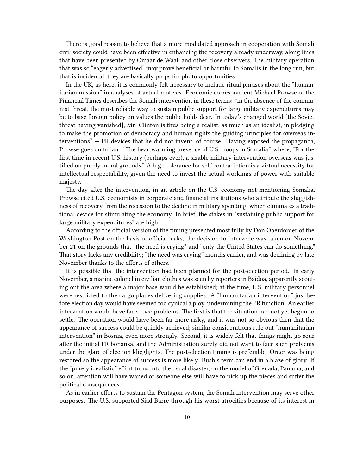There is good reason to believe that a more modulated approach in cooperation with Somali civil society could have been effective in enhancing the recovery already underway, along lines that have been presented by Omaar de Waal, and other close observers. The military operation that was so "eagerly advertised" may prove beneficial or harmful to Somalis in the long run, but that is incidental; they are basically props for photo opportunities.

In the UK, as here, it is commonly felt necessary to include ritual phrases about the "humanitarian mission" in analyses of actual motives. Economic correspondent Michael Prowse of the Financial Times describes the Somali intervention in these terms: "in the absence of the communist threat, the most reliable way to sustain public support for large military expenditures may be to base foreign policy on values the public holds dear. In today's changed world [the Soviet threat having vanished], Mr. Clinton is thus being a realist, as much as an idealist, in pledging to make the promotion of democracy and human rights the guiding principles for overseas interventions" — PR devices that he did not invent, of course. Having exposed the propaganda, Prowse goes on to laud "The heartwarming presence of U.S. troops in Somalia," where, "For the first time in recent U.S. history (perhaps ever), a sizable military intervention overseas was justified on purely moral grounds." A high tolerance for self-contradiction is a virtual necessity for intellectual respectability, given the need to invest the actual workings of power with suitable majesty.

The day after the intervention, in an article on the U.S. economy not mentioning Somalia, Prowse cited U.S. economists in corporate and financial institutions who attribute the sluggishness of recovery from the recession to the decline in military spending, which eliminates a traditional device for stimulating the economy. In brief, the stakes in "sustaining public support for large military expenditures" are high.

According to the official version of the timing presented most fully by Don Oberdorder of the Washington Post on the basis of official leaks, the decision to intervene was taken on November 21 on the grounds that "the need is crying" and "only the United States can do something." That story lacks any credibility; "the need was crying" months earlier, and was declining by late November thanks to the efforts of others.

It is possible that the intervention had been planned for the post-election period. In early November, a marine colonel in civilian clothes was seen by reporters in Baidoa, apparently scouting out the area where a major base would be established; at the time, U.S. military personnel were restricted to the cargo planes delivering supplies. A "humanitarian intervention" just before election day would have seemed too cynical a ploy, undermining the PR function. An earlier intervention would have faced two problems. The first is that the situation had not yet begun to settle. The operation would have been far more risky, and it was not so obvious then that the appearance of success could be quickly achieved; similar considerations rule out "humanitarian intervention" in Bosnia, even more strongly. Second, it is widely felt that things might go sour after the initial PR bonanza, and the Administration surely did not want to face such problems under the glare of election klieglights. The post-election timing is preferable. Order was being restored so the appearance of success is more likely. Bush's term can end in a blaze of glory. If the "purely idealistic" effort turns into the usual disaster, on the model of Grenada, Panama, and so on, attention will have waned or someone else will have to pick up the pieces and suffer the political consequences.

As in earlier efforts to sustain the Pentagon system, the Somali intervention may serve other purposes. The U.S. supported Siad Barre through his worst atrocities because of its interest in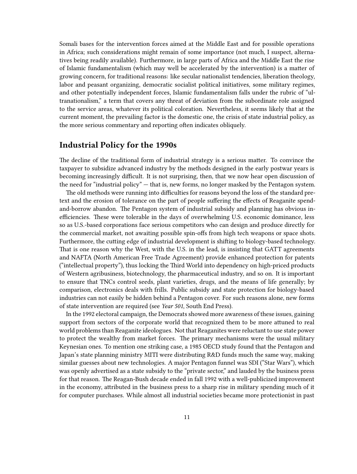Somali bases for the intervention forces aimed at the Middle East and for possible operations in Africa; such considerations might remain of some importance (not much, I suspect, alternatives being readily available). Furthermore, in large parts of Africa and the Middle East the rise of Islamic fundamentalism (which may well be accelerated by the intervention) is a matter of growing concern, for traditional reasons: like secular nationalist tendencies, liberation theology, labor and peasant organizing, democratic socialist political initiatives, some military regimes, and other potentially independent forces, Islamic fundamentalism falls under the rubric of "ultranationalism," a term that covers any threat of deviation from the subordinate role assigned to the service areas, whatever its political coloration. Nevertheless, it seems likely that at the current moment, the prevailing factor is the domestic one, the crisis of state industrial policy, as the more serious commentary and reporting often indicates obliquely.

#### <span id="page-10-0"></span>**Industrial Policy for the 1990s**

The decline of the traditional form of industrial strategy is a serious matter. To convince the taxpayer to subsidize advanced industry by the methods designed in the early postwar years is becoming increasingly difficult. It is not surprising, then, that we now hear open discussion of the need for "industrial policy" — that is, new forms, no longer masked by the Pentagon system.

The old methods were running into difficulties for reasons beyond the loss of the standard pretext and the erosion of tolerance on the part of people suffering the effects of Reaganite spendand-borrow abandon. The Pentagon system of industrial subsidy and planning has obvious inefficiencies. These were tolerable in the days of overwhelming U.S. economic dominance, less so as U.S.-based corporations face serious competitors who can design and produce directly for the commercial market, not awaiting possible spin-offs from high tech weapons or space shots. Furthermore, the cutting edge of industrial development is shifting to biology-based technology. That is one reason why the West, with the U.S. in the lead, is insisting that GATT agreements and NAFTA (North American Free Trade Agreement) provide enhanced protection for patents ("intellectual property"), thus locking the Third World into dependency on high-priced products of Western agribusiness, biotechnology, the pharmaceutical industry, and so on. It is important to ensure that TNCs control seeds, plant varieties, drugs, and the means of life generally; by comparison, electronics deals with frills. Public subsidy and state protection for biology-based industries can not easily be hidden behind a Pentagon cover. For such reasons alone, new forms of state intervention are required (see *Year 501*, South End Press).

In the 1992 electoral campaign, the Democrats showed more awareness of these issues, gaining support from sectors of the corporate world that recognized them to be more attuned to real world problems than Reaganite ideologues. Not that Reaganites were reluctant to use state power to protect the wealthy from market forces. The primary mechanisms were the usual military Keynesian ones. To mention one striking case, a 1985 OECD study found that the Pentagon and Japan's state planning ministry MITI were distributing R&D funds much the same way, making similar guesses about new technologies. A major Pentagon funnel was SDI ("Star Wars"), which was openly advertised as a state subsidy to the "private sector," and lauded by the business press for that reason. The Reagan-Bush decade ended in fall 1992 with a well-publicized improvement in the economy, attributed in the business press to a sharp rise in military spending much of it for computer purchases. While almost all industrial societies became more protectionist in past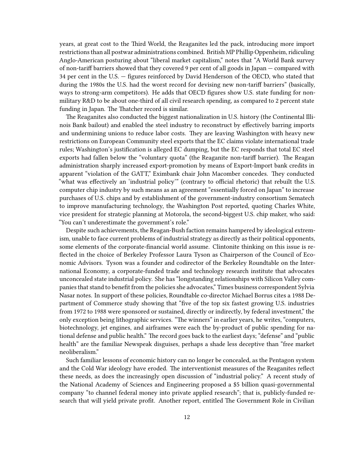years, at great cost to the Third World, the Reaganites led the pack, introducing more import restrictions than all postwar administrations combined. British MP Phillip Oppenheim, ridiculing Anglo-American posturing about "liberal market capitalism," notes that "A World Bank survey of non-tariff barriers showed that they covered 9 per cent of all goods in Japan — compared with 34 per cent in the U.S. — figures reinforced by David Henderson of the OECD, who stated that during the 1980s the U.S. had the worst record for devising new non-tariff barriers" (basically, ways to strong-arm competitors). He adds that OECD figures show U.S. state funding for nonmilitary R&D to be about one-third of all civil research spending, as compared to 2 percent state funding in Japan. The Thatcher record is similar.

The Reaganites also conducted the biggest nationalization in U.S. history (the Continental Illinois Bank bailout) and enabled the steel industry to reconstruct by effectively barring imports and undermining unions to reduce labor costs. They are leaving Washington with heavy new restrictions on European Community steel exports that the EC claims violate international trade rules; Washington's justification is alleged EC dumping, but the EC responds that total EC steel exports had fallen below the "voluntary quota" (the Reaganite non-tariff barrier). The Reagan administration sharply increased export-promotion by means of Export-Import bank credits in apparent "violation of the GATT," Eximbank chair John Macomber concedes. They conducted "what was effectively an 'industrial policy'" (contrary to official rhetoric) that rebuilt the U.S. computer chip industry by such means as an agreement "essentially forced on Japan" to increase purchases of U.S. chips and by establishment of the government-industry consortium Sematech to improve manufacturing technology, the Washington Post reported, quoting Charles White, vice president for strategic planning at Motorola, the second-biggest U.S. chip maker, who said: "You can't underestimate the government's role."

Despite such achievements, the Reagan-Bush faction remains hampered by ideological extremism, unable to face current problems of industrial strategy as directly as their political opponents, some elements of the corporate-financial world assume. Clintonite thinking on this issue is reflected in the choice of Berkeley Professor Laura Tyson as Chairperson of the Council of Economic Advisors. Tyson was a founder and codirector of the Berkeley Roundtable on the International Economy, a corporate-funded trade and technology research institute that advocates unconcealed state industrial policy. She has "longstanding relationships with Silicon Valley companies that stand to benefit from the policies she advocates," Times business correspondent Sylvia Nasar notes. In support of these policies, Roundtable co-director Michael Borrus cites a 1988 Department of Commerce study showing that "five of the top six fastest growing U.S. industries from 1972 to 1988 were sponsored or sustained, directly or indirectly, by federal investment," the only exception being lithographic services. "The winners" in earlier years, he writes, "computers, biotechnology, jet engines, and airframes were each the by-product of public spending for national defense and public health." The record goes back to the earliest days; "defense" and "public health" are the familiar Newspeak disguises, perhaps a shade less deceptive than "free market neoliberalism."

Such familiar lessons of economic history can no longer be concealed, as the Pentagon system and the Cold War ideology have eroded. The interventionist measures of the Reaganites reflect these needs, as does the increasingly open discussion of "industrial policy." A recent study of the National Academy of Sciences and Engineering proposed a \$5 billion quasi-governmental company "to channel federal money into private applied research"; that is, publicly-funded research that will yield private profit. Another report, entitled The Government Role in Civilian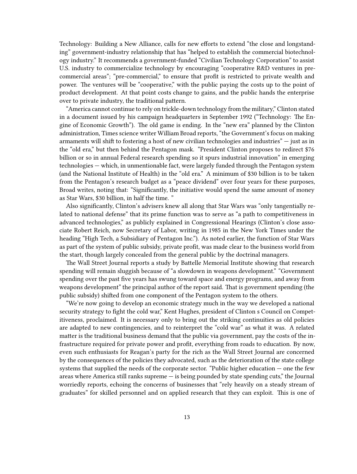Technology: Building a New Alliance, calls for new efforts to extend "the close and longstanding" government-industry relationship that has "helped to establish the commercial biotechnology industry." It recommends a government-funded "Civilian Technology Corporation" to assist U.S. industry to commercialize technology by encouraging "cooperative R&D ventures in precommercial areas"; "pre-commercial," to ensure that profit is restricted to private wealth and power. The ventures will be "cooperative," with the public paying the costs up to the point of product development. At that point costs change to gains, and the public hands the enterprise over to private industry, the traditional pattern.

"America cannot continue to rely on trickle-down technology from the military," Clinton stated in a document issued by his campaign headquarters in September 1992 ("Technology: The Engine of Economic Growth"). The old game is ending. In the "new era" planned by the Clinton administration, Times science writer William Broad reports, "the Government's focus on making armaments will shift to fostering a host of new civilian technologies and industries" — just as in the "old era," but then behind the Pentagon mask. "President Clinton proposes to redirect \$76 billion or so in annual Federal research spending so it spurs industrial innovation" in emerging technologies — which, in unmentionable fact, were largely funded through the Pentagon system (and the National Institute of Health) in the "old era." A minimum of \$30 billion is to be taken from the Pentagon's research budget as a "peace dividend" over four years for these purposes, Broad writes, noting that: "Significantly, the initiative would spend the same amount of money as Star Wars, \$30 billion, in half the time. "

Also significantly, Clinton's advisers knew all along that Star Wars was "only tangentially related to national defense" that its prime function was to serve as "a path to competitiveness in advanced technologies," as publicly explained in Congressional Hearings (Clinton's close associate Robert Reich, now Secretary of Labor, writing in 1985 in the New York Times under the heading "High Tech, a Subsidiary of Pentagon Inc."). As noted earlier, the function of Star Wars as part of the system of public subsidy, private profit, was made clear to the business world from the start, though largely concealed from the general public by the doctrinal managers.

The Wall Street Journal reports a study by Battelle Memorial Institute showing that research spending will remain sluggish because of "a slowdown in weapons development." "Government spending over the past five years has swung toward space and energy programs, and away from weapons development" the principal author of the report said. That is government spending (the public subsidy) shifted from one component of the Pentagon system to the others.

"We're now going to develop an economic strategy much in the way we developed a national security strategy to fight the cold war," Kent Hughes, president of Clinton s Council on Competitiveness, proclaimed. It is necessary only to bring out the striking continuities as old policies are adapted to new contingencies, and to reinterpret the "cold war" as what it was. A related matter is the traditional business demand that the public via government, pay the costs of the infrastructure required for private power and profit, everything from roads to education. By now, even such enthusiasts for Reagan's party for the rich as the Wall Street Journal are concerned by the consequences of the policies they advocated, such as the deterioration of the state college systems that supplied the needs of the corporate sector. "Public higher education — one the few areas where America still ranks supreme — is being pounded by state spending cuts," the Journal worriedly reports, echoing the concerns of businesses that "rely heavily on a steady stream of graduates" for skilled personnel and on applied research that they can exploit. This is one of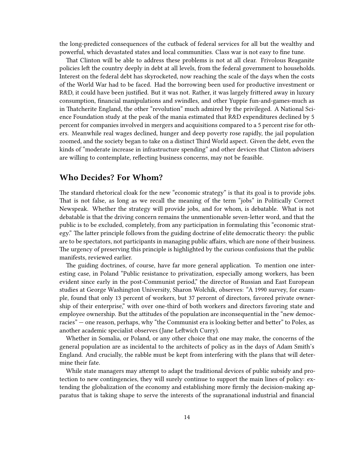the long-predicted consequences of the cutback of federal services for all but the wealthy and powerful, which devastated states and local communities. Class war is not easy to fine tune.

That Clinton will be able to address these problems is not at all clear. Frivolous Reaganite policies left the country deeply in debt at all levels, from the federal government to households. Interest on the federal debt has skyrocketed, now reaching the scale of the days when the costs of the World War had to be faced. Had the borrowing been used for productive investment or R&D, it could have been justified. But it was not. Rather, it was largely frittered away in luxury consumption, financial manipulations and swindles, and other Yuppie fun-and-games-much as in Thatcherite England, the other "revolution" much admired by the privileged. A National Science Foundation study at the peak of the mania estimated that R&D expenditures declined by 5 percent for companies involved in mergers and acquisitions compared to a 5 percent rise for others. Meanwhile real wages declined, hunger and deep poverty rose rapidly, the jail population zoomed, and the society began to take on a distinct Third World aspect. Given the debt, even the kinds of "moderate increase in infrastructure spending" and other devices that Clinton advisers are willing to contemplate, reflecting business concerns, may not be feasible.

#### <span id="page-13-0"></span>**Who Decides? For Whom?**

The standard rhetorical cloak for the new "economic strategy" is that its goal is to provide jobs. That is not false, as long as we recall the meaning of the term "jobs" in Politically Correct Newspeak. Whether the strategy will provide jobs, and for whom, is debatable. What is not debatable is that the driving concern remains the unmentionable seven-letter word, and that the public is to be excluded, completely, from any participation in formulating this "economic strategy." The latter principle follows from the guiding doctrine of elite democratic theory: the public are to be spectators, not participants in managing public affairs, which are none of their business. The urgency of preserving this principle is highlighted by the curious confusions that the public manifests, reviewed earlier.

The guiding doctrines, of course, have far more general application. To mention one interesting case, in Poland "Public resistance to privatization, especially among workers, has been evident since early in the post-Communist period," the director of Russian and East European studies at George Washington University, Sharon Wolchik, observes: "A 1990 survey, for example, found that only 13 percent of workers, but 37 percent of directors, favored private ownership of their enterprise," with over one-third of both workers and directors favoring state and employee ownership. But the attitudes of the population are inconsequential in the "new democracies" — one reason, perhaps, why "the Communist era is looking better and better" to Poles, as another academic specialist observes (Jane Leftwich Curry).

Whether in Somalia, or Poland, or any other choice that one may make, the concerns of the general population are as incidental to the architects of policy as in the days of Adam Smith's England. And crucially, the rabble must be kept from interfering with the plans that will determine their fate.

While state managers may attempt to adapt the traditional devices of public subsidy and protection to new contingencies, they will surely continue to support the main lines of policy: extending the globalization of the economy and establishing more firmly the decision-making apparatus that is taking shape to serve the interests of the supranational industrial and financial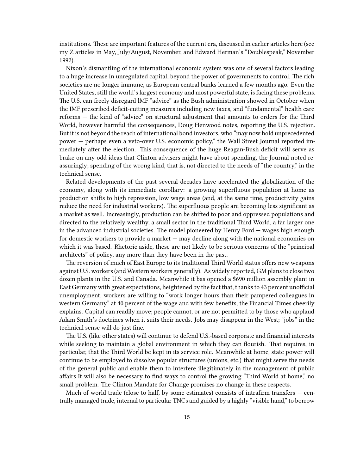institutions. These are important features of the current era, discussed in earlier articles here (see my Z articles in May, July/August, November, and Edward Herman's "Doublespeak," November 1992).

Nixon's dismantling of the international economic system was one of several factors leading to a huge increase in unregulated capital, beyond the power of governments to control. The rich societies are no longer immune, as European central banks learned a few months ago. Even the United States, still the world's largest economy and most powerful state, is facing these problems. The U.S. can freely disregard lMF "advice" as the Bush administration showed in October when the IMF prescribed deficit-cutting measures including new taxes, and "fundamental" health care reforms — the kind of "advice" on structural adjustment that amounts to orders for the Third World, however harmful the consequences, Doug Henwood notes, reporting the U.S. rejection. But it is not beyond the reach of international bond investors, who "may now hold unprecedented power — perhaps even a veto-over U.S. economic policy," the Wall Street Journal reported immediately after the election. This consequence of the huge Reagan-Bush deficit will serve as brake on any odd ideas that Clinton advisers might have about spending, the Journal noted reassuringly; spending of the wrong kind, that is, not directed to the needs of "the country," in the technical sense.

Related developments of the past several decades have accelerated the globalization of the economy, along with its immediate corollary: a growing superfluous population at home as production shifts to high repression, low wage areas (and, at the same time, productivity gains reduce the need for industrial workers). The superfluous people are becoming less significant as a market as well. Increasingly, production can be shifted to poor and oppressed populations and directed to the relatively wealthy, a small sector in the traditional Third World, a far larger one in the advanced industrial societies. The model pioneered by Henry Ford — wages high enough for domestic workers to provide a market — may decline along with the national economies on which it was based. Rhetoric aside, these are not likely to be serious concerns of the "principal architects" of policy, any more than they have been in the past.

The reversion of much of East Europe to its traditional Third World status offers new weapons against U.S. workers (and Western workers generally). As widely reported, GM plans to close two dozen plants in the U.S. and Canada. Meanwhile it bas opened a \$690 million assembly plant in East Germany with great expectations, heightened by the fact that, thanks to 43 percent unofficial unemployment, workers are willing to "work longer hours than their pampered colleagues in western Germany" at 40 percent of the wage and with few benefits, the Financial Times cheerily explains. Capital can readily move; people cannot, or are not permitted to by those who applaud Adam Smith's doctrines when it suits their needs. Jobs may disappear in the West; "jobs" in the technical sense will do just fine.

The U.S. (like other states) will continue to defend U.S.-based corporate and financial interests while seeking to maintain a global environment in which they can flourish. That requires, in particular, that the Third World be kept in its service role. Meanwhile at home, state power will continue to be employed to dissolve popular structures (unions, etc.) that might serve the needs of the general public and enable them to interfere illegitimately in the management of public affairs It will also be necessary to find ways to control the growing "Third World at home," no small problem. The Clinton Mandate for Change promises no change in these respects.

Much of world trade (close to half, by some estimates) consists of intrafirm transfers  $-$  centrally managed trade, internal to particular TNCs and guided by a highly "visible hand," to borrow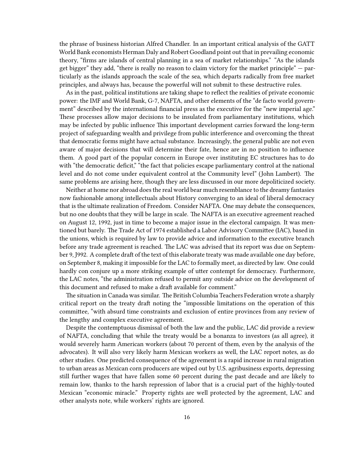the phrase of business historian Alfred Chandler. In an important critical analysis of the GATT World Bank economists Herman Daly and Robert Goodland point out that in prevailing economic theory, "firms are islands of central planning in a sea of market relationships." "As the islands get bigger" they add, "there is really no reason to claim victory for the market principle" — particularly as the islands approach the scale of the sea, which departs radically from free market principles, and always has, because the powerful will not submit to these destructive rules.

As in the past, political institutions are taking shape to reflect the realities of private economic power: the IMF and World Bank, G-7, NAFTA, and other elements of the "de facto world government" described by the international financial press as the executive for the "new imperial age." These processes allow major decisions to be insulated from parliamentary institutions, which may be infected by public influence This important development carries forward the long-term project of safeguarding wealth and privilege from public interference and overcoming the threat that democratic forms might have actual substance. Increasingly, the general public are not even aware of major decisions that will determine their fate, hence are in no position to influence them. A good part of the popular concern in Europe over instituting EC structures has to do with "the democratic deficit," "the fact that policies escape parliamentary control at the national level and do not come under equivalent control at the Community level" (John Lambert). The same problems are arising here, though they are less discussed in our more depoliticized society.

Neither at home nor abroad does the real world bear much resemblance to the dreamy fantasies now fashionable among intellectuals about History converging to an ideal of liberal democracy that is the ultimate realization of Freedom. Consider NAFTA. One may debate the consequences, but no one doubts that they will be large in scale. The NAFTA is an executive agreement reached on August 12, 1992, just in time to become a major issue in the electoral campaign. It was mentioned but barely. The Trade Act of 1974 established a Labor Advisory Committee (IAC), based in the unions, which is required by law to provide advice and information to the executive branch before any trade agreement is reached. The LAC was advised that its report was due on September 9, J992. A complete draft of the text of this elaborate treaty was made available one day before, on September 8, making it impossible for the LAC to formally meet, as directed by law. One could hardly con conjure up a more striking example of utter contempt for democracy. Furthermore, the LAC notes, "the administration refused to permit any outside advice on the development of this document and refused to make a draft available for comment."

The situation in Canada was similar. The British Columbia Teachers Federation wrote a sharply critical report on the treaty draft noting the "impossible limitations on the operation of this committee, "with absurd time constraints and exclusion of entire provinces from any review of the lengthy and complex executive agreement.

Despite the contemptuous dismissal of both the law and the public, LAC did provide a review of NAFTA, concluding that while the treaty would be a bonanza to investors (as all agree), it would severely harm American workers (about 70 percent of them, even by the analysis of the advocates). It will also very likely harm Mexican workers as well, the LAC report notes, as do other studies. One predicted consequence of the agreement is a rapid increase in rural migration to urban areas as Mexican corn producers are wiped out by U.S. agribusiness exports, depressing still further wages that have fallen some 60 percent during the past decade and are likely to remain low, thanks to the harsh repression of labor that is a crucial part of the highly-touted Mexican "economic miracle." Property rights are well protected by the agreement, LAC and other analysts note, while workers' rights are ignored.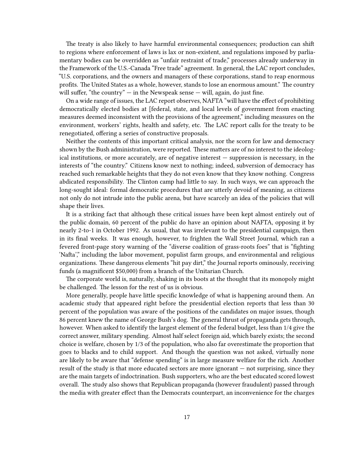The treaty is also likely to have harmful environmental consequences; production can shift to regions where enforcement of laws is lax or non-existent, and regulations imposed by parliamentary bodies can be overridden as "unfair restraint of trade," processes already underway in the Framework of the U.S.-Canada "Free trade" agreement. In general, the LAC report concludes, "U.S. corporations, and the owners and managers of these corporations, stand to reap enormous profits. The United States as a whole, however, stands to lose an enormous amount." The country will suffer, "the country"  $-$  in the Newspeak sense  $-$  will, again, do just fine.

On a wide range of issues, the LAC report observes, NAFTA "will have the effect of prohibiting democratically elected bodies at [federal, state, and local levels of government from enacting measures deemed inconsistent with the provisions of the agreement," including measures on the environment, workers' rights, health and safety, etc. The LAC report calls for the treaty to be renegotiated, offering a series of constructive proposals.

Neither the contents of this important critical analysis, nor the scorn for law and democracy shown by the Bush administration, were reported. These matters are of no interest to the ideological institutions, or more accurately, are of negative interest — suppression is necessary, in the interests of "the country." Citizens know next to nothing; indeed, subversion of democracy has reached such remarkable heights that they do not even know that they know nothing. Congress abdicated responsibility. The Clinton camp had little to say. In such ways, we can approach the long-sought ideal: formal democratic procedures that are utterly devoid of meaning, as citizens not only do not intrude into the public arena, but have scarcely an idea of the policies that will shape their lives.

It is a striking fact that although these critical issues have been kept almost entirely out of the public domain, 60 percent of the public do have an opinion about NAFTA, opposing it by nearly 2-to-1 in October 1992. As usual, that was irrelevant to the presidential campaign, then in its final weeks. It was enough, however, to frighten the Wall Street Journal, which ran a fevered front-page story warning of the "diverse coalition of grass-roots foes" that is "fighting 'Nafta'," including the labor movement, populist farm groups, and environmental and religious organizations. These dangerous elements "hit pay dirt," the Journal reports ominously, receiving funds (a magnificent \$50,000) from a branch of the Unitarian Church.

The corporate world is, naturally, shaking in its boots at the thought that its monopoly might be challenged. The lesson for the rest of us is obvious.

More generally, people have little specific knowledge of what is happening around them. An academic study that appeared right before the presidential election reports that less than 30 percent of the population was aware of the positions of the candidates on major issues, though 86 percent knew the name of George Bush's dog. The general thrust of propaganda gets through, however. When asked to identify the largest element of the federal budget, less than 1/4 give the correct answer, military spending. Almost half select foreign aid, which barely exists; the second choice is welfare, chosen by 1/3 of the population, who also far overestimate the proportion that goes to blacks and to child support. And though the question was not asked, virtually none are likely to be aware that "defense spending" is in large measure welfare for the rich. Another result of the study is that more educated sectors are more ignorant — not surprising, since they are the main targets of indoctrination. Bush supporters, who are the best educated scored lowest overall. The study also shows that Republican propaganda (however fraudulent) passed through the media with greater effect than the Democrats counterpart, an inconvenience for the charges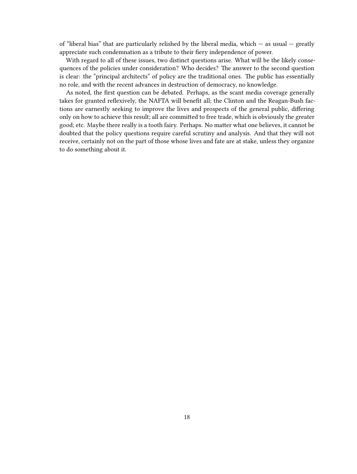of "liberal bias" that are particularly relished by the liberal media, which  $-$  as usual  $-$  greatly appreciate such condemnation as a tribute to their fiery independence of power.

With regard to all of these issues, two distinct questions arise. What will be the likely consequences of the policies under consideration? Who decides? The answer to the second question is clear: the "principal architects" of policy are the traditional ones. The public has essentially no role, and with the recent advances in destruction of democracy, no knowledge.

As noted, the first question can be debated. Perhaps, as the scant media coverage generally takes for granted reflexively, the NAFTA will benefit all; the Clinton and the Reagan-Bush factions are earnestly seeking to improve the lives and prospects of the general public, differing only on how to achieve this result; all are committed to free trade, which is obviously the greater good; etc. Maybe there really is a tooth fairy. Perhaps. No matter what one believes, it cannot be doubted that the policy questions require careful scrutiny and analysis. And that they will not receive, certainly not on the part of those whose lives and fate are at stake, unless they organize to do something about it.